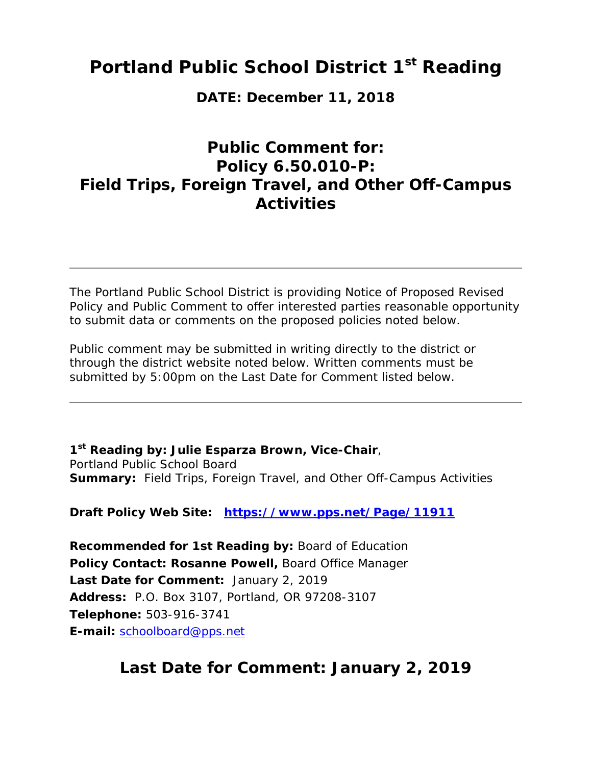# **Portland Public School District 1st Reading**

**DATE: December 11, 2018** 

## **Public Comment for: Policy 6.50.010-P: Field Trips, Foreign Travel, and Other Off-Campus Activities**

The Portland Public School District is providing Notice of Proposed Revised Policy and Public Comment to offer interested parties reasonable opportunity to submit data or comments on the proposed policies noted below.

Public comment may be submitted in writing directly to the district or through the district website noted below. Written comments must be submitted by 5:00pm on the Last Date for Comment listed below.

**1st Reading by: Julie Esparza Brown, Vice-Chair**, Portland Public School Board **Summary:** Field Trips, Foreign Travel, and Other Off-Campus Activities

**Draft Policy Web Site: https://www.pps.net/Page/11911**

**Recommended for 1st Reading by:** Board of Education **Policy Contact: Rosanne Powell,** Board Office Manager **Last Date for Comment:** January 2, 2019 **Address:** P.O. Box 3107, Portland, OR 97208-3107 **Telephone:** 503-916-3741 **E-mail:** schoolboard@pps.net

# **Last Date for Comment: January 2, 2019**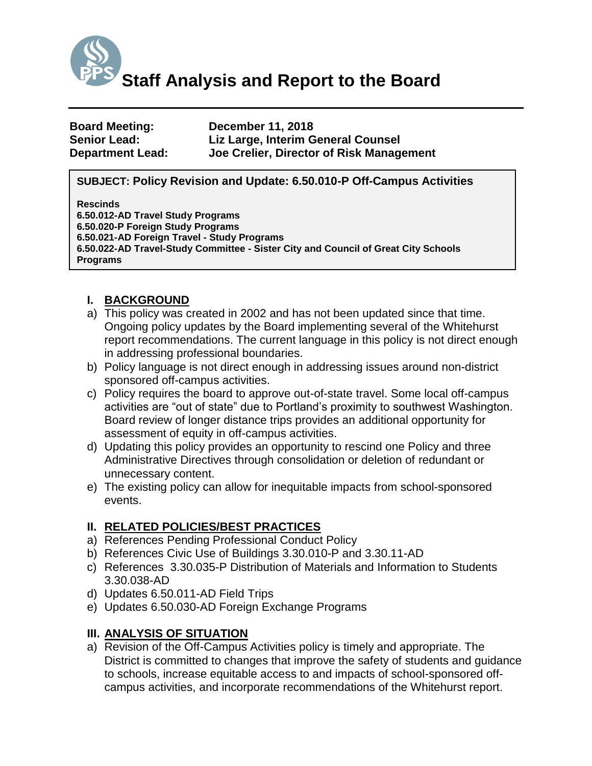

| <b>Board Meeting:</b>   | <b>December 11, 2018</b>                 |
|-------------------------|------------------------------------------|
| <b>Senior Lead:</b>     | Liz Large, Interim General Counsel       |
| <b>Department Lead:</b> | Joe Crelier, Director of Risk Management |

#### **SUBJECT: Policy Revision and Update: 6.50.010-P Off-Campus Activities**

### **Rescinds**

**6.50.012-AD Travel Study Programs 6.50.020-P Foreign Study Programs 6.50.021-AD Foreign Travel - Study Programs 6.50.022-AD Travel-Study Committee - Sister City and Council of Great City Schools Programs**

### **I. BACKGROUND**

- a) This policy was created in 2002 and has not been updated since that time. Ongoing policy updates by the Board implementing several of the Whitehurst report recommendations. The current language in this policy is not direct enough in addressing professional boundaries.
- b) Policy language is not direct enough in addressing issues around non-district sponsored off-campus activities.
- c) Policy requires the board to approve out-of-state travel. Some local off-campus activities are "out of state" due to Portland's proximity to southwest Washington. Board review of longer distance trips provides an additional opportunity for assessment of equity in off-campus activities.
- d) Updating this policy provides an opportunity to rescind one Policy and three Administrative Directives through consolidation or deletion of redundant or unnecessary content.
- e) The existing policy can allow for inequitable impacts from school-sponsored events.

#### **II. RELATED POLICIES/BEST PRACTICES**

- a) References Pending Professional Conduct Policy
- b) References Civic Use of Buildings 3.30.010-P and 3.30.11-AD
- c) References 3.30.035-P Distribution of Materials and Information to Students 3.30.038-AD
- d) Updates 6.50.011-AD Field Trips
- e) Updates 6.50.030-AD Foreign Exchange Programs

### **III. ANALYSIS OF SITUATION**

a) Revision of the Off-Campus Activities policy is timely and appropriate. The District is committed to changes that improve the safety of students and guidance to schools, increase equitable access to and impacts of school-sponsored offcampus activities, and incorporate recommendations of the Whitehurst report.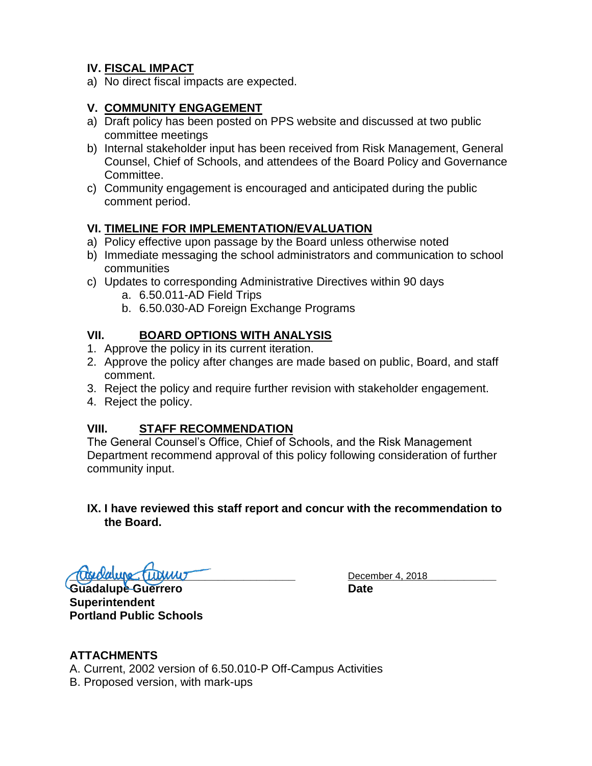## **IV. FISCAL IMPACT**

a) No direct fiscal impacts are expected.

#### **V. COMMUNITY ENGAGEMENT**

- a) Draft policy has been posted on PPS website and discussed at two public committee meetings
- b) Internal stakeholder input has been received from Risk Management, General Counsel, Chief of Schools, and attendees of the Board Policy and Governance Committee.
- c) Community engagement is encouraged and anticipated during the public comment period.

#### **VI. TIMELINE FOR IMPLEMENTATION/EVALUATION**

- a) Policy effective upon passage by the Board unless otherwise noted
- b) Immediate messaging the school administrators and communication to school communities
- c) Updates to corresponding Administrative Directives within 90 days
	- a. 6.50.011-AD Field Trips
	- b. 6.50.030-AD Foreign Exchange Programs

#### **VII. BOARD OPTIONS WITH ANALYSIS**

- 1. Approve the policy in its current iteration.
- 2. Approve the policy after changes are made based on public, Board, and staff comment.
- 3. Reject the policy and require further revision with stakeholder engagement.
- 4. Reject the policy.

#### **VIII. STAFF RECOMMENDATION**

The General Counsel's Office, Chief of Schools, and the Risk Management Department recommend approval of this policy following consideration of further community input.

#### **IX. I have reviewed this staff report and concur with the recommendation to the Board.**

**Trigidialupe Turinius** Turinius Company December 4, 2018

**Guadalupe Guerrero Date Superintendent Portland Public Schools**

#### **ATTACHMENTS**

A. Current, 2002 version of 6.50.010-P Off-Campus Activities B. Proposed version, with mark-ups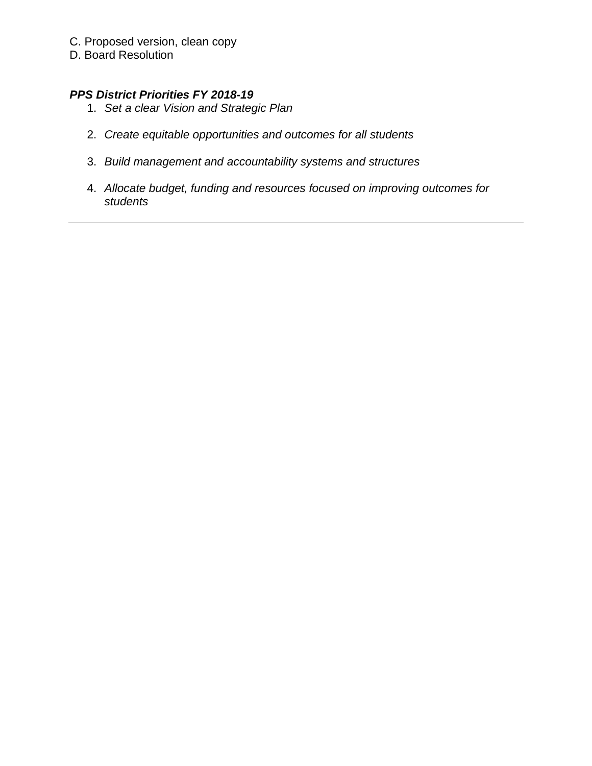- C. Proposed version, clean copy
- D. Board Resolution

### *PPS District Priorities FY 2018-19*

- 1. *Set a clear Vision and Strategic Plan*
- 2. *Create equitable opportunities and outcomes for all students*
- 3. *Build management and accountability systems and structures*
- 4. *Allocate budget, funding and resources focused on improving outcomes for students*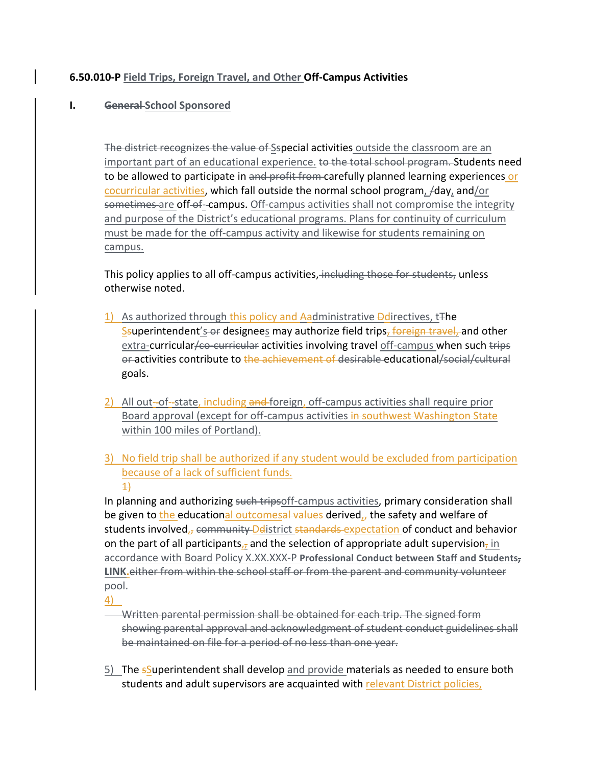#### **6.50.010-P** Field Trips, Foreign Travel, and Other Off-Campus Activities

#### **I.** General School Sponsored

The district recognizes the value of Sspecial activities outside the classroom are an important part of an educational experience. to the total school program. Students need to be allowed to participate in and profit from carefully planned learning experiences or cocurricular activities, which fall outside the normal school program,  $/$ day, and/or sometimes are off-of-campus. Off-campus activities shall not compromise the integrity and purpose of the District's educational programs. Plans for continuity of curriculum must be made for the off-campus activity and likewise for students remaining on campus.

This policy applies to all off-campus activities, including those for students, unless otherwise noted.

- 1) As authorized through this policy and Aadministrative  $\overline{\text{P}}$ directives, t<sup>he</sup> Ssuperintendent's-or designees may authorize field trips, foreign travel, and other extra-curricular/co-curricular activities involving travel off-campus when such trips or activities contribute to the achievement of desirable educational/social/cultural goals.
- 2) All out-of-state, including and foreign, off-campus activities shall require prior Board approval (except for off-campus activities in southwest Washington State within 100 miles of Portland).
- 3) No field trip shall be authorized if any student would be excluded from participation because of a lack of sufficient funds.  $\overline{1}$

In planning and authorizing such tripsoff-campus activities, primary consideration shall be given to the educational outcomesal values derived, the safety and welfare of students involved<sub>r</sub>, community Delistrict standards expectation of conduct and behavior on the part of all participants, and the selection of appropriate adult supervision, in accordance with Board Policy X.XX.XXX-P Professional Conduct between Staff and Students<sub>7</sub> LINK.either from within the school staff or from the parent and community volunteer pool.

4)

- **Written parental permission shall be obtained for each trip. The signed form** showing parental approval and acknowledgment of student conduct guidelines shall be maintained on file for a period of no less than one year.
- 5) The  $s$ Superintendent shall develop and provide materials as needed to ensure both students and adult supervisors are acquainted with relevant District policies,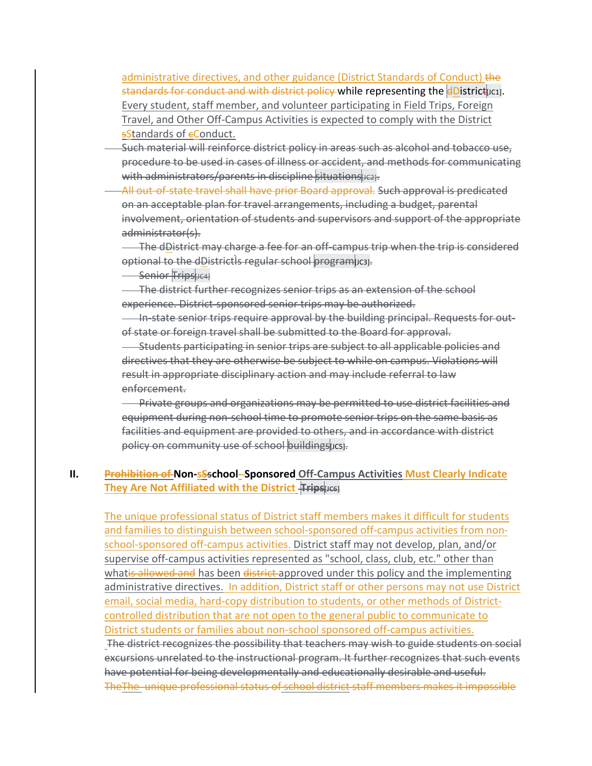administrative directives, and other guidance (District Standards of Conduct) the standards for conduct and with district policy while representing the **dDistrict** uc1. Every student, staff member, and volunteer participating in Field Trips, Foreign Travel, and Other Off-Campus Activities is expected to comply with the District sStandards of eConduct.

- Such material will reinforce district policy in areas such as alcohol and tobacco use, procedure to be used in cases of illness or accident, and methods for communicating with administrators/parents in discipline situations  $\mu$ c<sub>2</sub>.
- -All out-of-state travel shall have prior Board approval. Such approval is predicated on an acceptable plan for travel arrangements, including a budget, parental involvement, orientation of students and supervisors and support of the appropriate administrator(s).

The dDistrict may charge a fee for an off-campus trip when the trip is considered optional to the dDistrictIs regular school programucs

Senior Trips[JC4]

The district further recognizes senior trips as an extension of the school experience. District-sponsored senior trips may be authorized.

In-state senior trips require approval by the building principal. Requests for outof state or foreign travel shall be submitted to the Board for approval.

- Students participating in senior trips are subject to all applicable policies and directives that they are otherwise be subject to while on campus. Violations will result in appropriate disciplinary action and may include referral to law enforcement. 

**Example 2** Private groups and organizations may be permitted to use district facilities and equipment during non-school time to promote senior trips on the same basis as facilities and equipment are provided to others, and in accordance with district policy on community use of school buildings [JC5].

#### **II.** Prohibition of Non-sSschool-Sponsored Off-Campus Activities Must Clearly Indicate **They Are Not Affiliated with the District Trips [JC6]**

The unique professional status of District staff members makes it difficult for students and families to distinguish between school-sponsored off-campus activities from nonschool-sponsored off-campus activities. District staff may not develop, plan, and/or supervise off-campus activities represented as "school, class, club, etc." other than whatis allowed and has been district approved under this policy and the implementing administrative directives. In addition, District staff or other persons may not use District email, social media, hard-copy distribution to students, or other methods of Districtcontrolled distribution that are not open to the general public to communicate to District students or families about non-school sponsored off-campus activities. The district recognizes the possibility that teachers may wish to guide students on social excursions unrelated to the instructional program. It further recognizes that such events have potential for being developmentally and educationally desirable and useful. The The unique professional status of school district staff members makes it impossible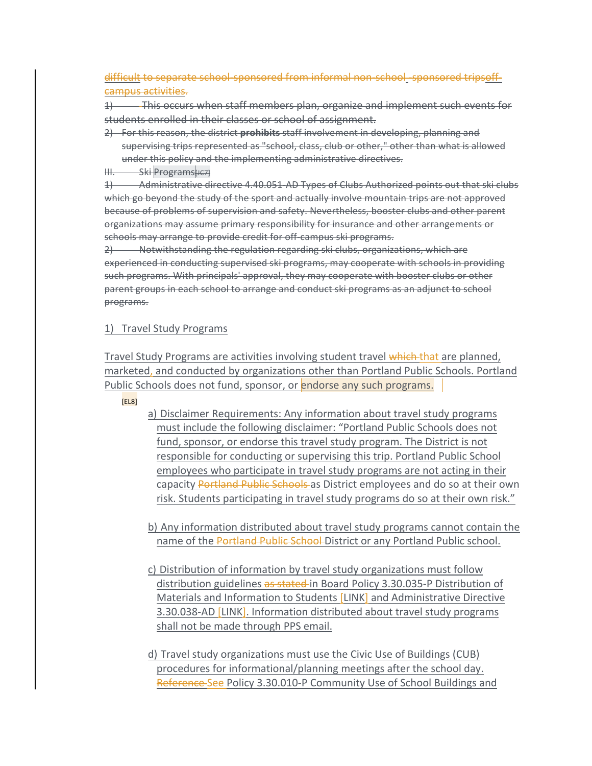difficult to separate school-sponsored from informal non-school-sponsored tripsoffcampus activities.

1) This occurs when staff members plan, organize and implement such events for students enrolled in their classes or school of assignment.

- 2) For this reason, the district **prohibits** staff involvement in developing, planning and supervising trips represented as "school, class, club or other," other than what is allowed under this policy and the implementing administrative directives.
- III. Ski Programs[JC7]

1) Administrative directive 4.40.051 AD Types of Clubs Authorized points out that ski clubs which go beyond the study of the sport and actually involve mountain trips are not approved because of problems of supervision and safety. Nevertheless, booster clubs and other parent organizations may assume primary responsibility for insurance and other arrangements or schools may arrange to provide credit for off campus ski programs.

2) Notwithstanding the regulation regarding ski clubs, organizations, which are experienced in conducting supervised ski programs, may cooperate with schools in providing such programs. With principals' approval, they may cooperate with booster clubs or other parent groups in each school to arrange and conduct ski programs as an adjunct to school programs. 

#### 1) Travel Study Programs

Travel Study Programs are activities involving student travel which that are planned, marketed, and conducted by organizations other than Portland Public Schools. Portland Public Schools does not fund, sponsor, or endorse any such programs.

[EL8]

a) Disclaimer Requirements: Any information about travel study programs must include the following disclaimer: "Portland Public Schools does not fund, sponsor, or endorse this travel study program. The District is not responsible for conducting or supervising this trip. Portland Public School employees who participate in travel study programs are not acting in their capacity Portland Public Schools as District employees and do so at their own risk. Students participating in travel study programs do so at their own risk."

b) Any information distributed about travel study programs cannot contain the name of the Portland Public School District or any Portland Public school.

- c) Distribution of information by travel study organizations must follow distribution guidelines as stated in Board Policy 3.30.035-P Distribution of Materials and Information to Students [LINK] and Administrative Directive 3.30.038-AD [LINK]. Information distributed about travel study programs shall not be made through PPS email.
- d) Travel study organizations must use the Civic Use of Buildings (CUB) procedures for informational/planning meetings after the school day. Reference-See Policy 3.30.010-P Community Use of School Buildings and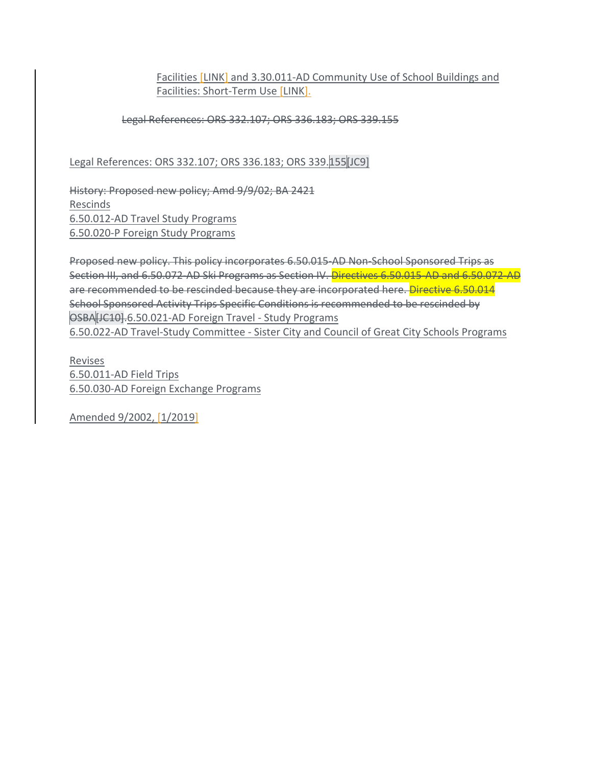#### Facilities [LINK] and 3.30.011-AD Community Use of School Buildings and Facilities: Short-Term Use [LINK].

#### Legal References: ORS 332.107; ORS 336.183; ORS 339.155

Legal References: ORS 332.107; ORS 336.183; ORS 339.155[JC9]

History: Proposed new policy; Amd 9/9/02; BA 2421 Rescinds 6.50.012-AD Travel Study Programs 6.50.020-P Foreign Study Programs

Proposed new policy. This policy incorporates 6.50.015-AD Non-School Sponsored Trips as Section III, and 6.50.072-AD Ski Programs as Section IV. Directives 6.50.015-AD and 6.50.072-AD are recommended to be rescinded because they are incorporated here. Directive 6.50.014 School Sponsored Activity Trips Specific Conditions is recommended to be rescinded by OSBA[JC10].6.50.021-AD Foreign Travel - Study Programs 6.50.022-AD Travel-Study Committee - Sister City and Council of Great City Schools Programs

Revises 6.50.011-AD Field Trips 6.50.030-AD Foreign Exchange Programs

Amended 9/2002, [1/2019]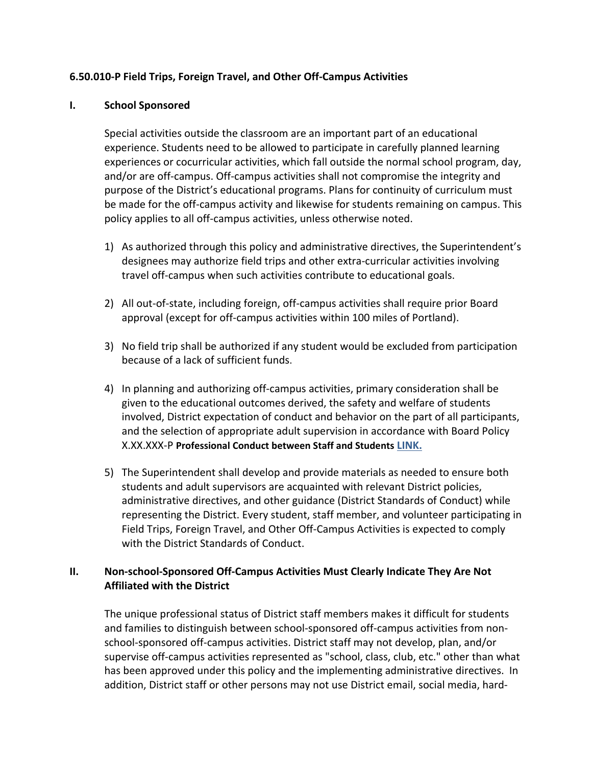#### **6.50.010‐P Field Trips, Foreign Travel, and Other Off‐Campus Activities**

#### **I. School Sponsored**

Special activities outside the classroom are an important part of an educational experience. Students need to be allowed to participate in carefully planned learning experiences or cocurricular activities, which fall outside the normal school program, day, and/or are off‐campus. Off‐campus activities shall not compromise the integrity and purpose of the District's educational programs. Plans for continuity of curriculum must be made for the off-campus activity and likewise for students remaining on campus. This policy applies to all off‐campus activities, unless otherwise noted.

- 1) As authorized through this policy and administrative directives, the Superintendent's designees may authorize field trips and other extra‐curricular activities involving travel off‐campus when such activities contribute to educational goals.
- 2) All out-of-state, including foreign, off-campus activities shall require prior Board approval (except for off‐campus activities within 100 miles of Portland).
- 3) No field trip shall be authorized if any student would be excluded from participation because of a lack of sufficient funds.
- 4) In planning and authorizing off‐campus activities, primary consideration shall be given to the educational outcomes derived, the safety and welfare of students involved, District expectation of conduct and behavior on the part of all participants, and the selection of appropriate adult supervision in accordance with Board Policy X.XX.XXX‐P **Professional Conduct between Staff and Students LINK.**
- 5) The Superintendent shall develop and provide materials as needed to ensure both students and adult supervisors are acquainted with relevant District policies, administrative directives, and other guidance (District Standards of Conduct) while representing the District. Every student, staff member, and volunteer participating in Field Trips, Foreign Travel, and Other Off‐Campus Activities is expected to comply with the District Standards of Conduct.

#### **II. Non‐school‐Sponsored Off‐Campus Activities Must Clearly Indicate They Are Not Affiliated with the District**

The unique professional status of District staff members makes it difficult for students and families to distinguish between school‐sponsored off‐campus activities from non‐ school‐sponsored off‐campus activities. District staff may not develop, plan, and/or supervise off-campus activities represented as "school, class, club, etc." other than what has been approved under this policy and the implementing administrative directives. In addition, District staff or other persons may not use District email, social media, hard‐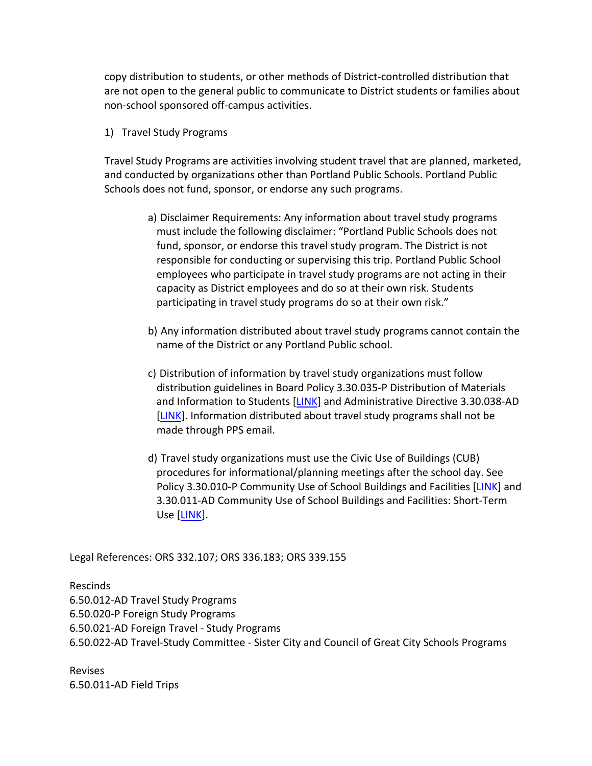copy distribution to students, or other methods of District‐controlled distribution that are not open to the general public to communicate to District students or families about non‐school sponsored off‐campus activities.

1) Travel Study Programs

Travel Study Programs are activities involving student travel that are planned, marketed, and conducted by organizations other than Portland Public Schools. Portland Public Schools does not fund, sponsor, or endorse any such programs.

- a) Disclaimer Requirements: Any information about travel study programs must include the following disclaimer: "Portland Public Schools does not fund, sponsor, or endorse this travel study program. The District is not responsible for conducting or supervising this trip. Portland Public School employees who participate in travel study programs are not acting in their capacity as District employees and do so at their own risk. Students participating in travel study programs do so at their own risk."
- b) Any information distributed about travel study programs cannot contain the name of the District or any Portland Public school.
- c) Distribution of information by travel study organizations must follow distribution guidelines in Board Policy 3.30.035‐P Distribution of Materials and Information to Students [LINK] and Administrative Directive 3.30.038‐AD [LINK]. Information distributed about travel study programs shall not be made through PPS email.
- d) Travel study organizations must use the Civic Use of Buildings (CUB) procedures for informational/planning meetings after the school day. See Policy 3.30.010‐P Community Use of School Buildings and Facilities [LINK] and 3.30.011‐AD Community Use of School Buildings and Facilities: Short‐Term Use [LINK].

Legal References: ORS 332.107; ORS 336.183; ORS 339.155

Rescinds

6.50.012‐AD Travel Study Programs 6.50.020‐P Foreign Study Programs 6.50.021‐AD Foreign Travel ‐ Study Programs 6.50.022‐AD Travel‐Study Committee ‐ Sister City and Council of Great City Schools Programs

Revises 6.50.011‐AD Field Trips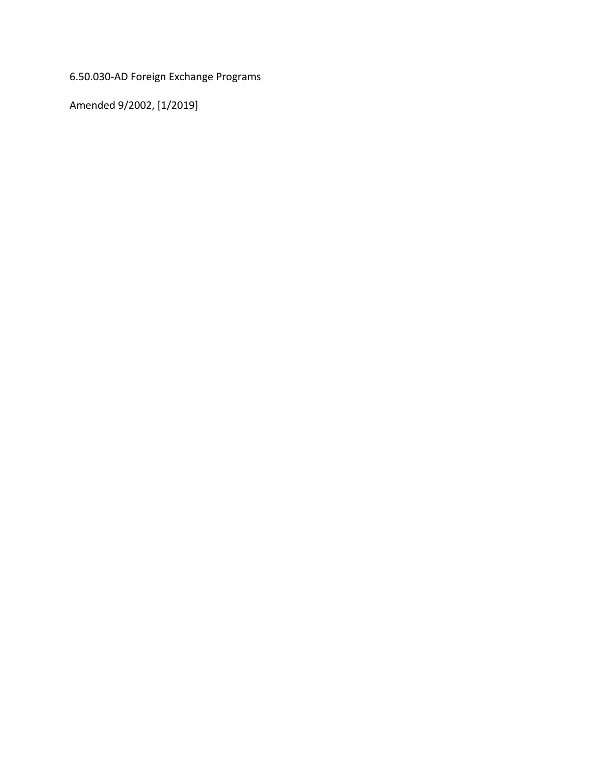6.50.030‐AD Foreign Exchange Programs

Amended 9/2002, [1/2019]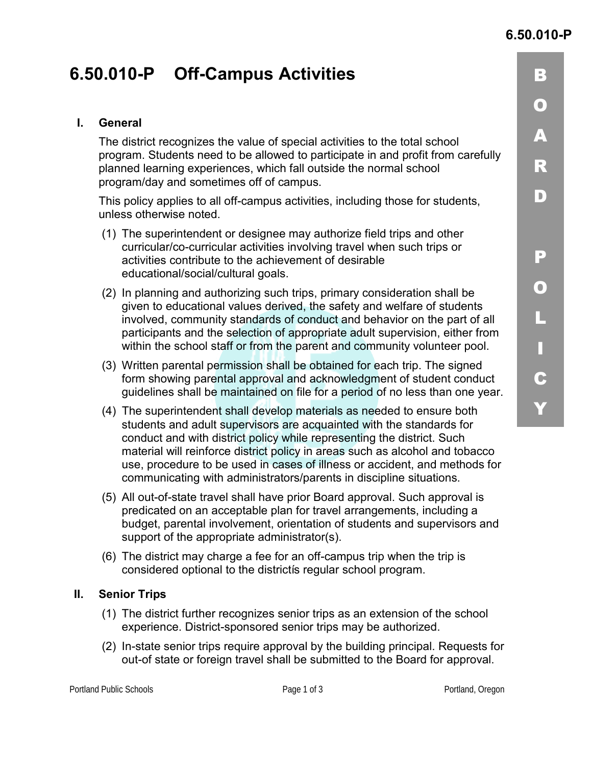<u>| 3</u>

 $\bullet$ 

 $\blacktriangle$ 

 $\overline{\mathbb{R}}$ 

 $\blacksquare$ 

<u>P</u>

0

("

)"

 $\mathbf C$ 

+"

# **6.50.010-P Off-Campus Activities**

#### **I. General**

The district recognizes the value of special activities to the total school program. Students need to be allowed to participate in and profit from carefully planned learning experiences, which fall outside the normal school program/day and sometimes off of campus.

This policy applies to all off-campus activities, including those for students, unless otherwise noted.

- (1) The superintendent or designee may authorize field trips and other curricular/co-curricular activities involving travel when such trips or activities contribute to the achievement of desirable educational/social/cultural goals.
- (2) In planning and authorizing such trips, primary consideration shall be given to educational values derived, the safety and welfare of students involved, community standards of conduct and behavior on the part of all participants and the selection of appropriate adult supervision, either from within the school staff or from the parent and community volunteer pool.
- (3) Written parental permission shall be obtained for each trip. The signed form showing parental approval and acknowledgment of student conduct guidelines shall be maintained on file for a period of no less than one year.
- (4) The superintendent shall develop materials as needed to ensure both students and adult supervisors are acquainted with the standards for conduct and with district policy while representing the district. Such material will reinforce district policy in areas such as alcohol and tobacco use, procedure to be used in cases of illness or accident, and methods for communicating with administrators/parents in discipline situations.
- (5) All out-of-state travel shall have prior Board approval. Such approval is predicated on an acceptable plan for travel arrangements, including a budget, parental involvement, orientation of students and supervisors and support of the appropriate administrator(s).
- (6) The district may charge a fee for an off-campus trip when the trip is considered optional to the districtis regular school program.

### **II. Senior Trips**

- (1) The district further recognizes senior trips as an extension of the school experience. District-sponsored senior trips may be authorized.
- (2) In-state senior trips require approval by the building principal. Requests for out-of state or foreign travel shall be submitted to the Board for approval.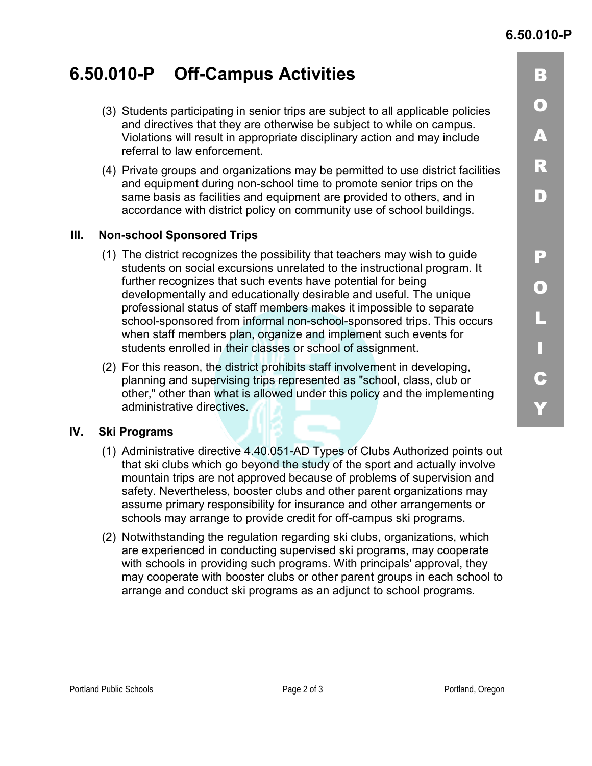# **6.50.010-P Off-Campus Activities**

- (3) Students participating in senior trips are subject to all applicable policies and directives that they are otherwise be subject to while on campus. Violations will result in appropriate disciplinary action and may include referral to law enforcement.
- (4) Private groups and organizations may be permitted to use district facilities and equipment during non-school time to promote senior trips on the same basis as facilities and equipment are provided to others, and in accordance with district policy on community use of school buildings.

### **III. Non-school Sponsored Trips**

- (1) The district recognizes the possibility that teachers may wish to guide students on social excursions unrelated to the instructional program. It further recognizes that such events have potential for being developmentally and educationally desirable and useful. The unique professional status of staff members makes it impossible to separate school-sponsored from informal non-school-sponsored trips. This occurs when staff members plan, organize and implement such events for students enrolled in their classes or school of assignment.
- (2) For this reason, the district prohibits staff involvement in developing, planning and supervising trips represented as "school, class, club or other," other than what is allowed under this policy and the implementing administrative directives.

### **IV. Ski Programs**

- (1) Administrative directive 4.40.051-AD Types of Clubs Authorized points out that ski clubs which go beyond the study of the sport and actually involve mountain trips are not approved because of problems of supervision and safety. Nevertheless, booster clubs and other parent organizations may assume primary responsibility for insurance and other arrangements or schools may arrange to provide credit for off-campus ski programs.
- (2) Notwithstanding the regulation regarding ski clubs, organizations, which are experienced in conducting supervised ski programs, may cooperate with schools in providing such programs. With principals' approval, they may cooperate with booster clubs or other parent groups in each school to arrange and conduct ski programs as an adjunct to school programs.